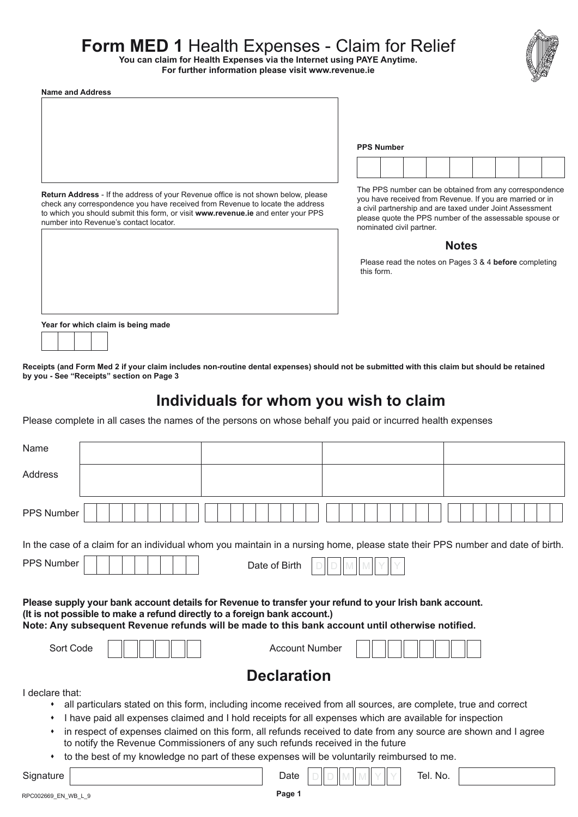# **Form MED 1** Health Expenses - Claim for Relief

**You can claim for Health Expenses via the Internet using PAYE Anytime.**

**For further information please visit [www.revenue.ie](http://www.revenue.ie)**



| <b>Name and Address</b> |                                                                                   |  |  |  |
|-------------------------|-----------------------------------------------------------------------------------|--|--|--|
|                         |                                                                                   |  |  |  |
|                         |                                                                                   |  |  |  |
|                         |                                                                                   |  |  |  |
|                         |                                                                                   |  |  |  |
|                         |                                                                                   |  |  |  |
|                         |                                                                                   |  |  |  |
|                         |                                                                                   |  |  |  |
|                         |                                                                                   |  |  |  |
|                         |                                                                                   |  |  |  |
|                         | Return Address - If the address of your Revenue office is not shown below, please |  |  |  |

check any correspondence you have received from Revenue to locate the address to which you should submit this form, or visit **[www.revenue.ie](http://www.revenue.ie)** and enter your PPS

The PPS number can be obtained from any correspondence you have received from Revenue. If you are married or in a civil partnership and are taxed under Joint Assessment please quote the PPS number of the assessable spouse or nominated civil partner.

**PPS Number**

#### **Notes**

Please read the notes on Pages 3 & 4 **before** completing this form.

**Year for which claim is being made**

number into Revenue's contact locator.

**Receipts (and [Form Med 2](http://www.revenue.ie/en/tax/it/forms/med2.pdf) if your claim includes non-routine dental expenses) should not be submitted with this claim but should be retained by you - See "Receipts" section on Page 3**

## **Individuals for whom you wish to claim**

Please complete in all cases the names of the persons on whose behalf you paid or incurred health expenses

| Name                                                                                                                                                                                                                                                                                     |                                                                                                                                                                                                                                                                                                                                                                                                                                               |  |
|------------------------------------------------------------------------------------------------------------------------------------------------------------------------------------------------------------------------------------------------------------------------------------------|-----------------------------------------------------------------------------------------------------------------------------------------------------------------------------------------------------------------------------------------------------------------------------------------------------------------------------------------------------------------------------------------------------------------------------------------------|--|
| Address                                                                                                                                                                                                                                                                                  |                                                                                                                                                                                                                                                                                                                                                                                                                                               |  |
| <b>PPS Number</b>                                                                                                                                                                                                                                                                        |                                                                                                                                                                                                                                                                                                                                                                                                                                               |  |
| In the case of a claim for an individual whom you maintain in a nursing home, please state their PPS number and date of birth.                                                                                                                                                           |                                                                                                                                                                                                                                                                                                                                                                                                                                               |  |
| PPS Number                                                                                                                                                                                                                                                                               | Date of Birth                                                                                                                                                                                                                                                                                                                                                                                                                                 |  |
| Please supply your bank account details for Revenue to transfer your refund to your Irish bank account.<br>(It is not possible to make a refund directly to a foreign bank account.)<br>Note: Any subsequent Revenue refunds will be made to this bank account until otherwise notified. |                                                                                                                                                                                                                                                                                                                                                                                                                                               |  |
| Sort Code                                                                                                                                                                                                                                                                                | <b>Account Number</b>                                                                                                                                                                                                                                                                                                                                                                                                                         |  |
|                                                                                                                                                                                                                                                                                          | <b>Declaration</b>                                                                                                                                                                                                                                                                                                                                                                                                                            |  |
| I declare that:<br>٠<br>٠<br>٠<br>to notify the Revenue Commissioners of any such refunds received in the future<br>٠                                                                                                                                                                    | all particulars stated on this form, including income received from all sources, are complete, true and correct<br>I have paid all expenses claimed and I hold receipts for all expenses which are available for inspection<br>in respect of expenses claimed on this form, all refunds received to date from any source are shown and I agree<br>to the best of my knowledge no part of these expenses will be voluntarily reimbursed to me. |  |
| Signature                                                                                                                                                                                                                                                                                | Tel. No.<br>Date                                                                                                                                                                                                                                                                                                                                                                                                                              |  |

**Page 1**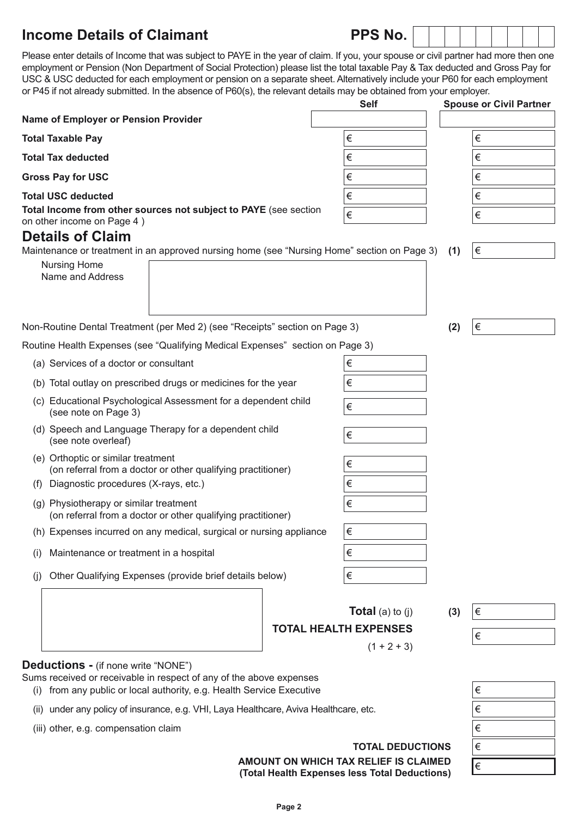## **Income Details of Claimant PPS**

| 'S No. |  |  |  |  |
|--------|--|--|--|--|
|--------|--|--|--|--|

Please enter details of Income that was subject to PAYE in the year of claim. If you, your spouse or civil partner had more then one employment or Pension (Non Department of Social Protection) please list the total taxable Pay & Tax deducted and Gross Pay for USC & USC deducted for each employment or pension on a separate sheet. Alternatively include your P60 for each employment or P45 if not already submitted. In the absence of P60(s), the relevant details may be obtained from your employer.

|                                                                                                             | <b>Self</b>             | <b>Spouse or Civil Partner</b> |
|-------------------------------------------------------------------------------------------------------------|-------------------------|--------------------------------|
| Name of Employer or Pension Provider                                                                        |                         |                                |
| <b>Total Taxable Pay</b>                                                                                    | $\in$                   | €                              |
| <b>Total Tax deducted</b>                                                                                   | $\in$                   | €                              |
| <b>Gross Pay for USC</b>                                                                                    | €                       | €                              |
| <b>Total USC deducted</b>                                                                                   | $\in$                   | €                              |
| Total Income from other sources not subject to PAYE (see section<br>on other income on Page 4)              | $\in$                   | €                              |
| <b>Details of Claim</b>                                                                                     |                         |                                |
| Maintenance or treatment in an approved nursing home (see "Nursing Home" section on Page 3)                 |                         | €<br>(1)                       |
| Nursing Home<br>Name and Address                                                                            |                         |                                |
|                                                                                                             |                         |                                |
|                                                                                                             |                         |                                |
| Non-Routine Dental Treatment (per Med 2) (see "Receipts" section on Page 3)                                 |                         | $\in$<br>(2)                   |
| Routine Health Expenses (see "Qualifying Medical Expenses" section on Page 3)                               |                         |                                |
| (a) Services of a doctor or consultant                                                                      | €                       |                                |
| (b) Total outlay on prescribed drugs or medicines for the year                                              | $\in$                   |                                |
| (c) Educational Psychological Assessment for a dependent child<br>(see note on Page 3)                      | €                       |                                |
| (d) Speech and Language Therapy for a dependent child<br>(see note overleaf)                                | $\in$                   |                                |
| (e) Orthoptic or similar treatment<br>$\in$<br>(on referral from a doctor or other qualifying practitioner) |                         |                                |
| Diagnostic procedures (X-rays, etc.)<br>(f)                                                                 | $\in$                   |                                |
| (g) Physiotherapy or similar treatment<br>(on referral from a doctor or other qualifying practitioner)      | $\in$                   |                                |
| (h) Expenses incurred on any medical, surgical or nursing appliance                                         | €                       |                                |
| Maintenance or treatment in a hospital<br>(i)                                                               | €                       |                                |
| Other Qualifying Expenses (provide brief details below)<br>(i)                                              | $\in$                   |                                |
|                                                                                                             | <b>Total</b> (a) to (j) | €<br>(3)                       |
| <b>TOTAL HEALTH EXPENSES</b><br>$(1 + 2 + 3)$                                                               |                         |                                |
|                                                                                                             |                         | €                              |
| Deductions - (if none write "NONE")<br>ind or receivable in respect of any of the above expenses            |                         |                                |

(i) from any public or local authority, e.g. Health Service Executive Fums received or receivable in respect of any of the above expenses

- (ii) under any policy of insurance, e.g. VHI, Laya Healthcare, Aviva Healthcare, etc.
- (iii) other, e.g. compensation claim

**TOTAL DEDUCTIONS**

**AMOUNT ON WHICH TAX RELIEF IS CLAIMED (Total Health Expenses less Total Deductions)**

| € |  |
|---|--|
| € |  |
| € |  |
| € |  |
| € |  |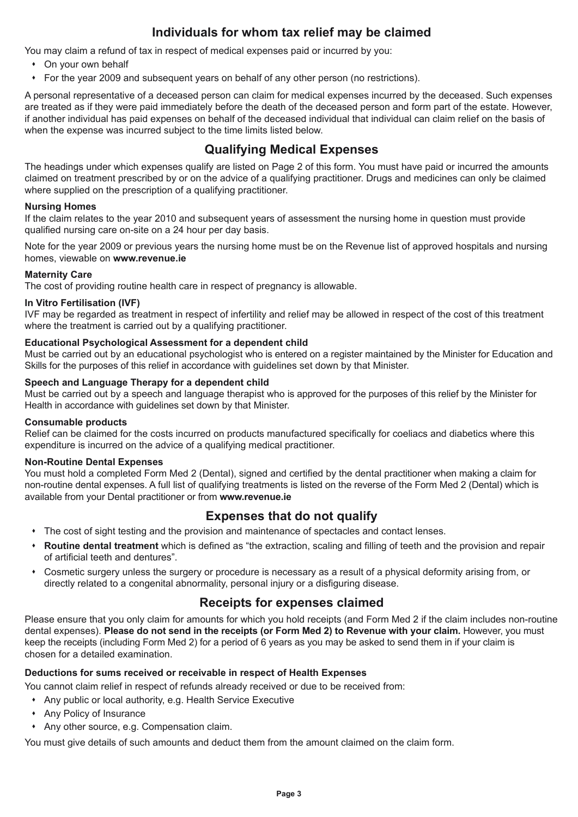## **Individuals for whom tax relief may be claimed**

You may claim a refund of tax in respect of medical expenses paid or incurred by you:

- On your own behalf
- For the year 2009 and subsequent years on behalf of any other person (no restrictions).

A personal representative of a deceased person can claim for medical expenses incurred by the deceased. Such expenses are treated as if they were paid immediately before the death of the deceased person and form part of the estate. However, if another individual has paid expenses on behalf of the deceased individual that individual can claim relief on the basis of when the expense was incurred subject to the time limits listed below.

## **Qualifying Medical Expenses**

The headings under which expenses qualify are listed on Page 2 of this form. You must have paid or incurred the amounts claimed on treatment prescribed by or on the advice of a qualifying practitioner. Drugs and medicines can only be claimed where supplied on the prescription of a qualifying practitioner.

#### **Nursing Homes**

If the claim relates to the year 2010 and subsequent years of assessment the nursing home in question must provide qualified nursing care on-site on a 24 hour per day basis.

Note for the year 2009 or previous years the nursing home must be on the Revenue list of approved hospitals and nursing homes, viewable on **[www.revenue.ie](http://www.revenue.ie)**

#### **Maternity Care**

The cost of providing routine health care in respect of pregnancy is allowable.

#### **In Vitro Fertilisation (IVF)**

IVF may be regarded as treatment in respect of infertility and relief may be allowed in respect of the cost of this treatment where the treatment is carried out by a qualifying practitioner.

#### **Educational Psychological Assessment for a dependent child**

Must be carried out by an educational psychologist who is entered on a register maintained by the Minister for Education and Skills for the purposes of this relief in accordance with guidelines set down by that Minister.

#### **Speech and Language Therapy for a dependent child**

Must be carried out by a speech and language therapist who is approved for the purposes of this relief by the Minister for Health in accordance with guidelines set down by that Minister.

#### **Consumable products**

Relief can be claimed for the costs incurred on products manufactured specifically for coeliacs and diabetics where this expenditure is incurred on the advice of a qualifying medical practitioner.

#### **Non-Routine Dental Expenses**

You must hold a completed Form [Med 2](http://www.revenue.ie/en/tax/it/forms/med2.pdf) (Dental), signed and certified by the dental practitioner when making a claim for non-routine dental expenses. A full list of qualifying treatments is listed on the reverse of the [Form Med 2](http://www.revenue.ie/en/tax/it/forms/med2.pdf) (Dental) which is available from your Dental practitioner or from **[www.revenue.ie](http://www.revenue.ie)**

#### **Expenses that do not qualify**

- $\bullet$  The cost of sight testing and the provision and maintenance of spectacles and contact lenses.
- s **Routine dental treatment** which is defined as "the extraction, scaling and filling of teeth and the provision and repair of artificial teeth and dentures".
- Cosmetic surgery unless the surgery or procedure is necessary as a result of a physical deformity arising from, or directly related to a congenital abnormality, personal injury or a disfiguring disease.

#### **Receipts for expenses claimed**

Please ensure that you only claim for amounts for which you hold receipts (and [Form Med 2](http://www.revenue.ie/en/tax/it/forms/med2.pdf) if the claim includes non-routine dental expenses). **Please do not send in the receipts (or [Form Med 2](http://www.revenue.ie/en/tax/it/forms/med2.pdf)) to Revenue with your claim.** However, you must keep the receipts (including [Form Med 2](http://www.revenue.ie/en/tax/it/forms/med2.pdf)) for a period of 6 years as you may be asked to send them in if your claim is chosen for a detailed examination.

#### **Deductions for sums received or receivable in respect of Health Expenses**

You cannot claim relief in respect of refunds already received or due to be received from:

- \* Any public or local authority, e.g. Health Service Executive
- Any Policy of Insurance
- Any other source, e.g. Compensation claim.

You must give details of such amounts and deduct them from the amount claimed on the claim form.